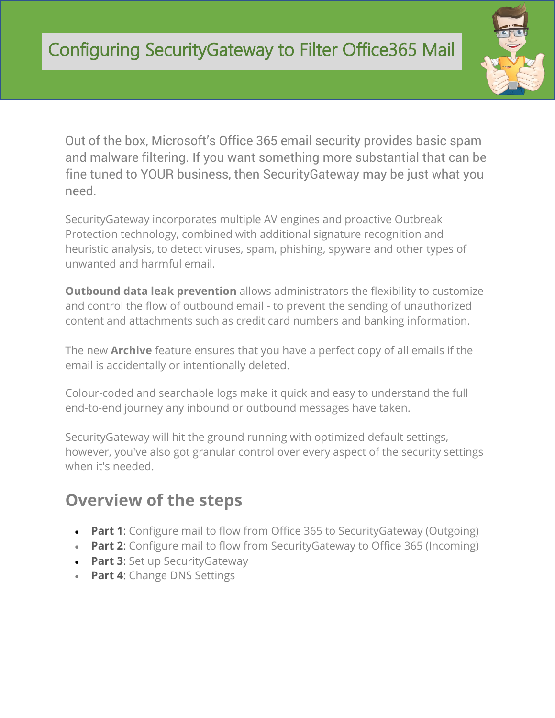

Out of the box, Microsoft's Office 365 email security provides basic spam and malware filtering. If you want something more substantial that can be fine tuned to YOUR business, then SecurityGateway may be just what you need.

SecurityGateway incorporates multiple AV engines and proactive Outbreak Protection technology, combined with additional signature recognition and heuristic analysis, to detect viruses, spam, phishing, spyware and other types of unwanted and harmful email.

**Outbound data leak prevention** allows administrators the flexibility to customize and control the flow of outbound email - to prevent the sending of unauthorized content and attachments such as credit card numbers and banking information.

The new **Archive** feature ensures that you have a perfect copy of all emails if the email is accidentally or intentionally deleted.

Colour-coded and searchable logs make it quick and easy to understand the full end-to-end journey any inbound or outbound messages have taken.

SecurityGateway will hit the ground running with optimized default settings, however, you've also got granular control over every aspect of the security settings when it's needed.

# **Overview of the steps**

- **Part 1**: Configure mail to flow from Office 365 to SecurityGateway (Outgoing)
- **Part 2:** Configure mail to flow from Security Gateway to Office 365 (Incoming)
- **Part 3**: Set up SecurityGateway
- **Part 4**: Change DNS Settings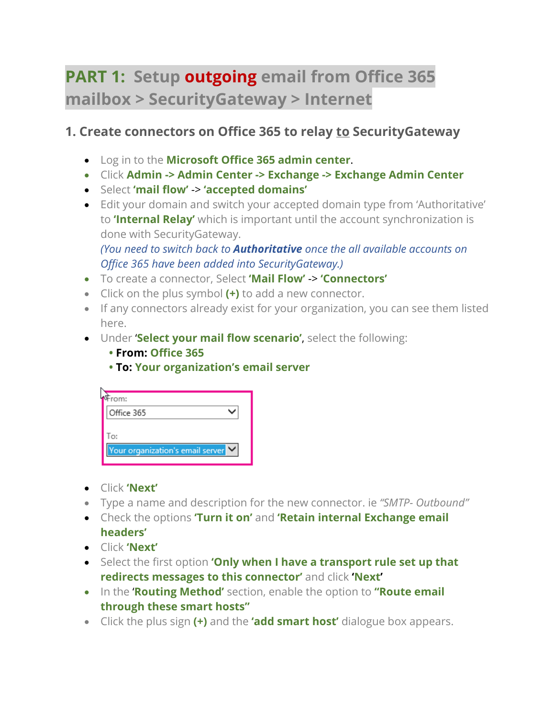# **PART 1: Setup outgoing email from Office 365 mailbox > SecurityGateway > Internet**

## **1. Create connectors on Office 365 to relay to SecurityGateway**

- Log in to the **Microsoft Office 365 admin center**.
- Click **Admin -> Admin Center -> Exchange -> Exchange Admin Center**
- Select **'mail flow'** -> **'accepted domains'**
- Edit your domain and switch your accepted domain type from 'Authoritative' to **'Internal Relay'** which is important until the account synchronization is done with SecurityGateway.

*(You need to switch back to Authoritative once the all available accounts on Office 365 have been added into SecurityGateway.)*

- To create a connector, Select **'Mail Flow'** -> **'Connectors'**
- Click on the plus symbol **(+)** to add a new connector.
- If any connectors already exist for your organization, you can see them listed here.
- Under '**Select your mail flow scenario'**, select the following:
	- **From: Office 365**
	- **To: Your organization's email server**

| rom:                             |  |
|----------------------------------|--|
| Office 365                       |  |
| To:                              |  |
| Your organization's email server |  |

- Click **'Next'**
- Type a name and description for the new connector. ie *"SMTP- Outbound"*
- Check the options **'Turn it on'** and **'Retain internal Exchange email headers'**
- Click **'Next'**
- Select the first option **'Only when I have a transport rule set up that redirects messages to this connector'** and click **'Next'**
- In the '**Routing Method'** section, enable the option to **"Route email through these smart hosts"**
- Click the plus sign **(+)** and the **'add smart host'** dialogue box appears.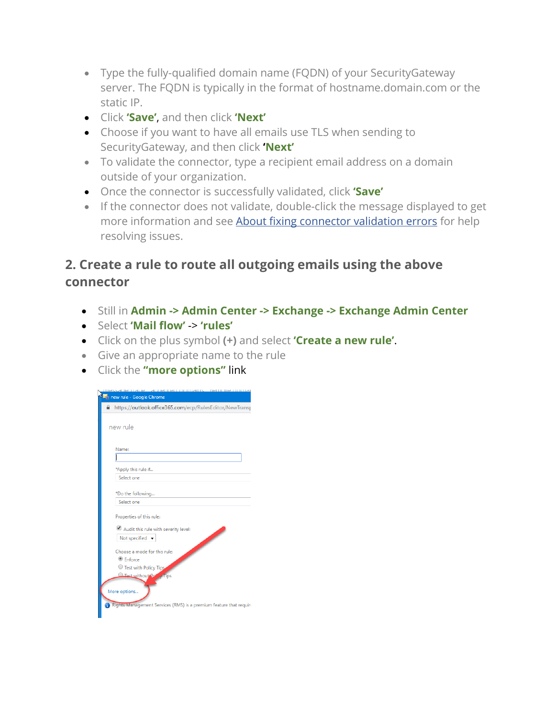- Type the fully-qualified domain name (FQDN) of your SecurityGateway server. The FQDN is typically in the format of hostname.domain.com or the static IP.
- Click **'Save'**, and then click **'Next'**
- Choose if you want to have all emails use TLS when sending to SecurityGateway, and then click **'Next'**
- To validate the connector, type a recipient email address on a domain outside of your organization.
- Once the connector is successfully validated, click **'Save'**
- If the connector does not validate, double-click the message displayed to get more information and see **[About fixing connector validation errors](https://technet.microsoft.com/library/abbae1e7-2cbe-434c-bd9f-ede00cebc170.aspx)** for help resolving issues.

## **2. Create a rule to route all outgoing emails using the above connector**

- Still in **Admin -> Admin Center -> Exchange -> Exchange Admin Center**
- Select **'Mail flow'** -> **'rules'**
- Click on the plus symbol **(+)** and select **'Create a new rule'**.
- Give an appropriate name to the rule
- Click the **"more options"** link

| new rule - Google Chrome                                           |  |  |
|--------------------------------------------------------------------|--|--|
| https://outlook.office365.com/ecp/RulesEditor/NewTransp            |  |  |
| new rule                                                           |  |  |
| Name:                                                              |  |  |
|                                                                    |  |  |
| *Apply this rule if                                                |  |  |
| Select one                                                         |  |  |
| *Do the following                                                  |  |  |
| Select one                                                         |  |  |
| Properties of this rule:                                           |  |  |
| Audit this rule with severity level:                               |  |  |
| Not specified $\rightarrow$                                        |  |  |
| Choose a mode for this rule:                                       |  |  |
| <b>Enforce</b>                                                     |  |  |
| C Test with Policy Tips                                            |  |  |
| <b>Executibries</b><br><b>Tips</b><br>More options                 |  |  |
| Rights Management Services (RMS) is a premium feature that require |  |  |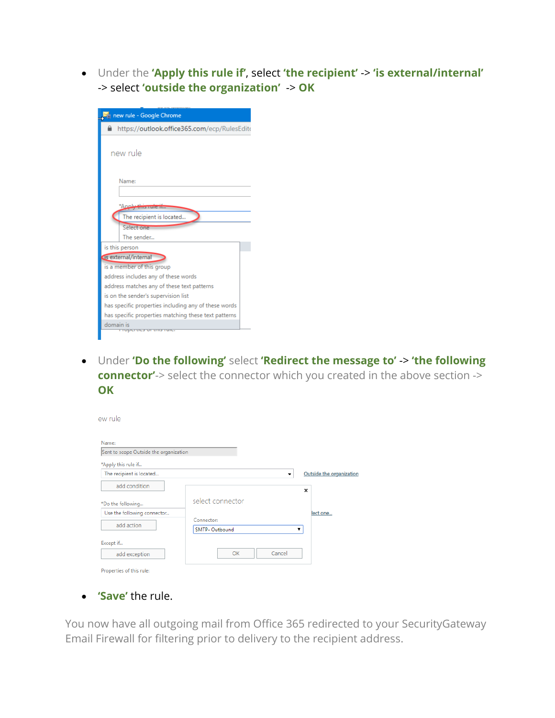• Under the **'Apply this rule if'**, select **'the recipient'** -> **'is external/internal'** -> select **'outside the organization'** -> **OK**

| new rule - Google Chrome                             |  |
|------------------------------------------------------|--|
| https://outlook.office365.com/ecp/RulesEdito<br>≏    |  |
| new rule                                             |  |
| Name:                                                |  |
| *∆nnlu<br>The recipient is located                   |  |
| Select one<br>The sender                             |  |
| is this person                                       |  |
| Is external/internal                                 |  |
| is a member of this group                            |  |
| address includes any of these words                  |  |
| address matches any of these text patterns           |  |
| is on the sender's supervision list                  |  |
| has specific properties including any of these words |  |
| has specific properties matching these text patterns |  |
| domain is                                            |  |
| שומר כוונו זש כשת ושוכו                              |  |

• Under **'Do the following'** select **'Redirect the message to'** -> **'the following connector'**-> select the connector which you created in the above section -> **OK**

| Name:                                  |                       |                                                      |
|----------------------------------------|-----------------------|------------------------------------------------------|
| Sent to scope Outside the organization |                       |                                                      |
| *Apply this rule if                    |                       |                                                      |
| The recipient is located               |                       | Outside the organization<br>$\overline{\phantom{a}}$ |
| add condition                          |                       | ×                                                    |
| *Do the following                      | select connector      |                                                      |
| Use the following connector            |                       | lect one                                             |
| add action                             | Connector:            |                                                      |
|                                        | <b>SMTP- Outbound</b> | ▼                                                    |
| Except if                              |                       |                                                      |
| add exception                          | OK                    | Cancel                                               |

• **'Save'** the rule.

You now have all outgoing mail from Office 365 redirected to your SecurityGateway Email Firewall for filtering prior to delivery to the recipient address.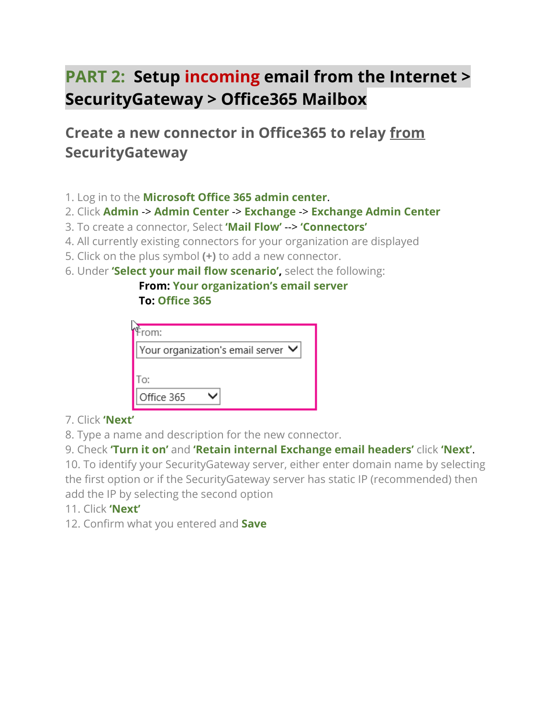# **PART 2: Setup incoming email from the Internet > SecurityGateway > Office365 Mailbox**

**Create a new connector in Office365 to relay from SecurityGateway**

- 1. Log in to the **Microsoft Office 365 admin center**.
- 2. Click **Admin** -> **Admin Center** -> **Exchange** -> **Exchange Admin Center**
- 3. To create a connector, Select **'Mail Flow'** --> **'Connectors'**
- 4. All currently existing connectors for your organization are displayed
- 5. Click on the plus symbol **(+)** to add a new connector.
- 6. Under **'Select your mail flow scenario',** select the following:

 **From: Your organization's email server To: Office 365**

| rom:                               |  |
|------------------------------------|--|
| Your organization's email server V |  |
| Гo:                                |  |
| Office 365                         |  |

### 7. Click **'Next'**

8. Type a name and description for the new connector.

9. Check **'Turn it on'** and **'Retain internal Exchange email headers'** click **'Next'**.

10. To identify your SecurityGateway server, either enter domain name by selecting the first option or if the SecurityGateway server has static IP (recommended) then add the IP by selecting the second option

- 11. Click **'Next'**
- 12. Confirm what you entered and **Save**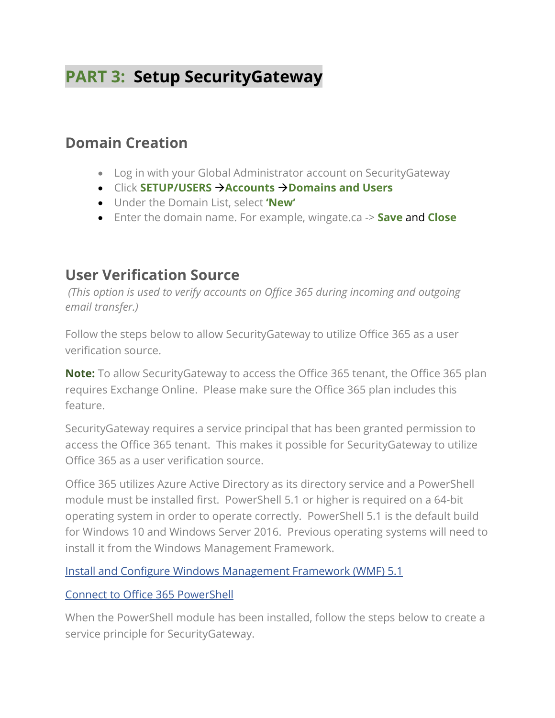# **PART 3: Setup SecurityGateway**

## **Domain Creation**

- Log in with your Global Administrator account on SecurityGateway
- Click **SETUP/USERS Accounts Domains and Users**
- Under the Domain List, select **'New'**
- Enter the domain name. For example, wingate.ca -> **Save** and **Close**

## **User Verification Source**

*(This option is used to verify accounts on Office 365 during incoming and outgoing email transfer.)*

Follow the steps below to allow SecurityGateway to utilize Office 365 as a user verification source.

**Note:** To allow SecurityGateway to access the Office 365 tenant, the Office 365 plan requires Exchange Online. Please make sure the Office 365 plan includes this feature.

SecurityGateway requires a service principal that has been granted permission to access the Office 365 tenant. This makes it possible for SecurityGateway to utilize Office 365 as a user verification source.

Office 365 utilizes Azure Active Directory as its directory service and a PowerShell module must be installed first. PowerShell 5.1 or higher is required on a 64-bit operating system in order to operate correctly. PowerShell 5.1 is the default build for Windows 10 and Windows Server 2016. Previous operating systems will need to install it from the Windows Management Framework.

#### [Install and Configure Windows Management Framework \(WMF\) 5.1](https://docs.microsoft.com/en-us/powershell/wmf/setup/install-configure)

#### [Connect to Office 365 PowerShell](https://docs.microsoft.com/en-us/office365/enterprise/powershell/connect-to-office-365-powershell)

When the PowerShell module has been installed, follow the steps below to create a service principle for SecurityGateway.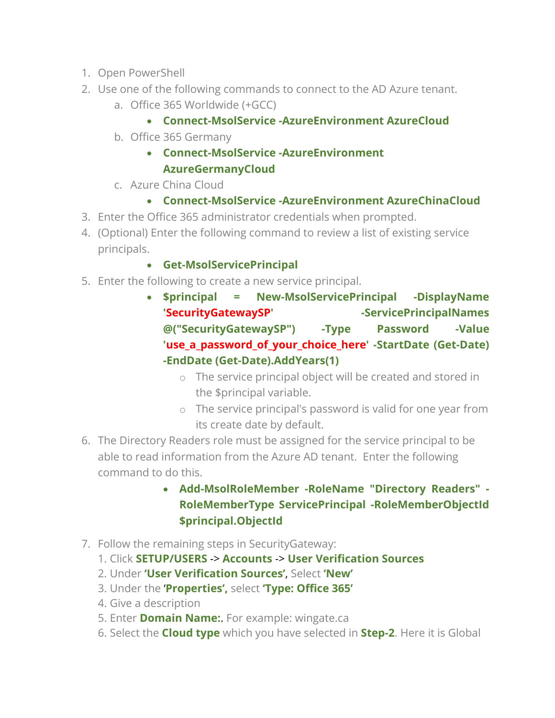- 1. Open PowerShell
- 2. Use one of the following commands to connect to the AD Azure tenant.
	- a. Office 365 Worldwide (+GCC)

### • **Connect-MsolService -AzureEnvironment AzureCloud**

b. Office 365 Germany

### • **Connect-MsolService -AzureEnvironment AzureGermanyCloud**

c. Azure China Cloud

### • **Connect-MsolService -AzureEnvironment AzureChinaCloud**

- 3. Enter the Office 365 administrator credentials when prompted.
- 4. (Optional) Enter the following command to review a list of existing service principals.

### • **Get-MsolServicePrincipal**

- 5. Enter the following to create a new service principal.
	- **\$principal = New-MsolServicePrincipal -DisplayName**  'SecurityGatewaySP' - ServicePrincipalNames **@("SecurityGatewaySP") -Type Password -Value 'use\_a\_password\_of\_your\_choice\_here' -StartDate (Get-Date) -EndDate (Get-Date).AddYears(1)**
		- o The service principal object will be created and stored in the \$principal variable.
		- o The service principal's password is valid for one year from its create date by default.
- 6. The Directory Readers role must be assigned for the service principal to be able to read information from the Azure AD tenant. Enter the following command to do this.
	- **Add-MsolRoleMember -RoleName "Directory Readers" - RoleMemberType ServicePrincipal -RoleMemberObjectId \$principal.ObjectId**
- 7. Follow the remaining steps in SecurityGateway:
	- 1. Click **SETUP/USERS** -> **Accounts** -> **User Verification Sources**
	- 2. Under **'User Verification Sources'**, Select **'New'**
	- 3. Under the '**Properties',** select **'Type: Office 365'**
	- 4. Give a description
	- 5. Enter **Domain Name:**. For example: wingate.ca
	- 6. Select the **Cloud type** which you have selected in **Step-2**. Here it is Global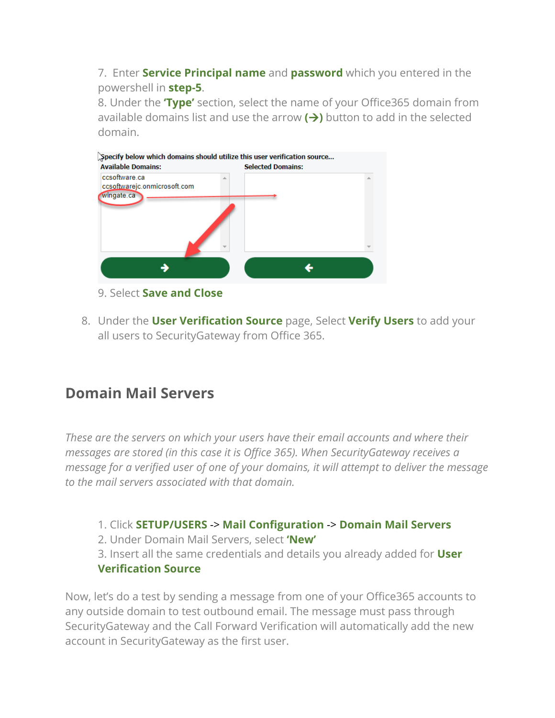7. Enter **Service Principal name** and **password** which you entered in the powershell in **step-5**.

8. Under the **'Type'** section, select the name of your Office365 domain from available domains list and use the arrow  $(\rightarrow)$  button to add in the selected domain.



#### 9. Select **Save and Close**

8. Under the **User Verification Source** page, Select **Verify Users** to add your all users to SecurityGateway from Office 365.

## **Domain Mail Servers**

*These are the servers on which your users have their email accounts and where their messages are stored (in this case it is Office 365). When SecurityGateway receives a message for a verified user of one of your domains, it will attempt to deliver the message to the mail servers associated with that domain.*

1. Click **SETUP/USERS** -> **Mail Configuration** -> **Domain Mail Servers**

2. Under Domain Mail Servers, select **'New'**

3. Insert all the same credentials and details you already added for **User Verification Source**

Now, let's do a test by sending a message from one of your Office365 accounts to any outside domain to test outbound email. The message must pass through SecurityGateway and the Call Forward Verification will automatically add the new account in SecurityGateway as the first user.